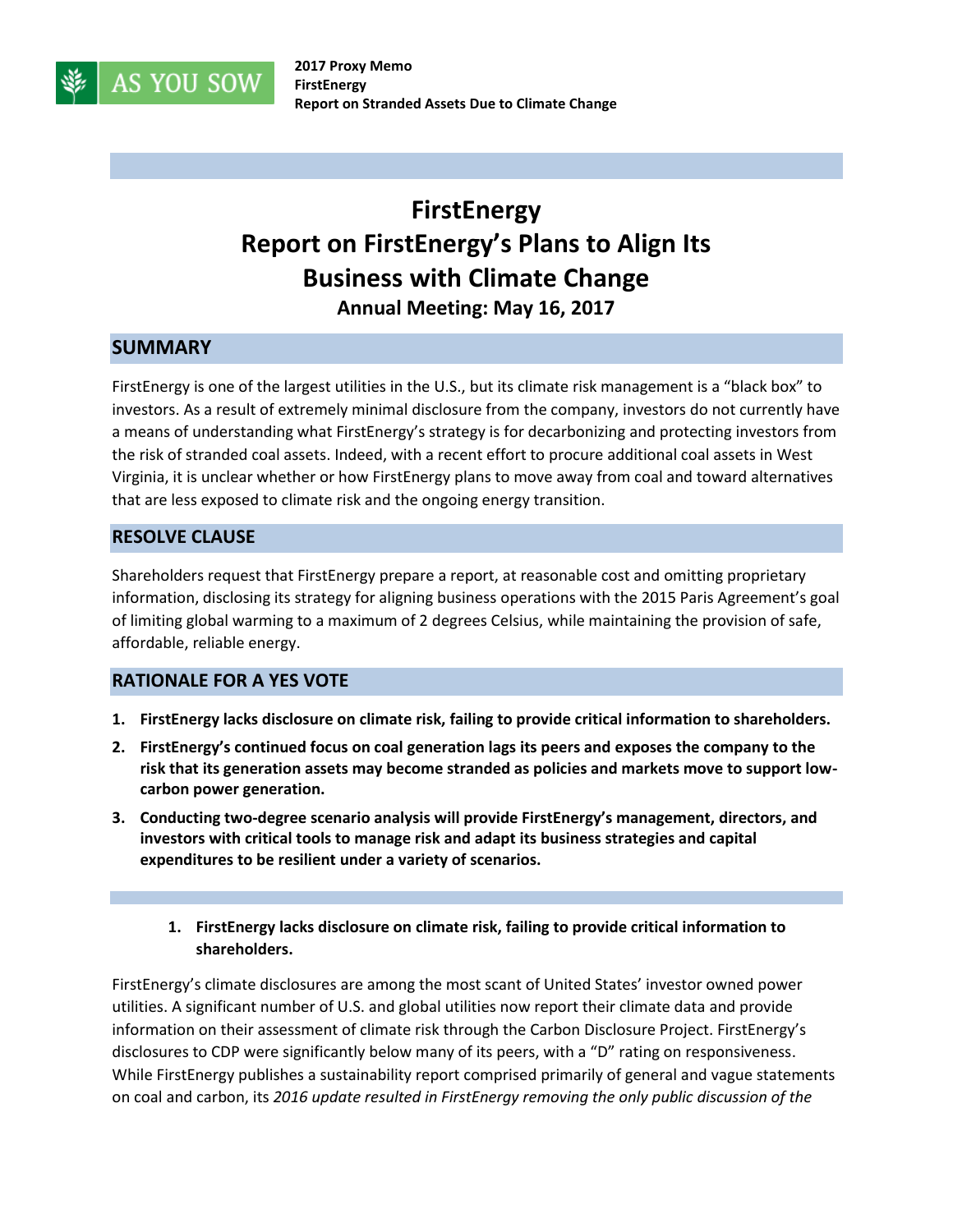

# **FirstEnergy Report on FirstEnergy's Plans to Align Its Business with Climate Change Annual Meeting: May 16, 2017**

# **SUMMARY**

FirstEnergy is one of the largest utilities in the U.S., but its climate risk management is a "black box" to investors. As a result of extremely minimal disclosure from the company, investors do not currently have a means of understanding what FirstEnergy's strategy is for decarbonizing and protecting investors from the risk of stranded coal assets. Indeed, with a recent effort to procure additional coal assets in West Virginia, it is unclear whether or how FirstEnergy plans to move away from coal and toward alternatives that are less exposed to climate risk and the ongoing energy transition.

#### **RESOLVE CLAUSE**

Shareholders request that FirstEnergy prepare a report, at reasonable cost and omitting proprietary information, disclosing its strategy for aligning business operations with the 2015 Paris Agreement's goal of limiting global warming to a maximum of 2 degrees Celsius, while maintaining the provision of safe, affordable, reliable energy.

## **RATIONALE FOR A YES VOTE**

- **1. FirstEnergy lacks disclosure on climate risk, failing to provide critical information to shareholders.**
- **2. FirstEnergy's continued focus on coal generation lags its peers and exposes the company to the risk that its generation assets may become stranded as policies and markets move to support lowcarbon power generation.**
- **3. Conducting two-degree scenario analysis will provide FirstEnergy's management, directors, and investors with critical tools to manage risk and adapt its business strategies and capital expenditures to be resilient under a variety of scenarios.**
	- **1. FirstEnergy lacks disclosure on climate risk, failing to provide critical information to shareholders.**

FirstEnergy's climate disclosures are among the most scant of United States' investor owned power utilities. A significant number of U.S. and global utilities now report their climate data and provide information on their assessment of climate risk through the Carbon Disclosure Project. FirstEnergy's disclosures to CDP were significantly below many of its peers, with a "D" rating on responsiveness. While FirstEnergy publishes a sustainability report comprised primarily of general and vague statements on coal and carbon, its *2016 update resulted in FirstEnergy removing the only public discussion of the*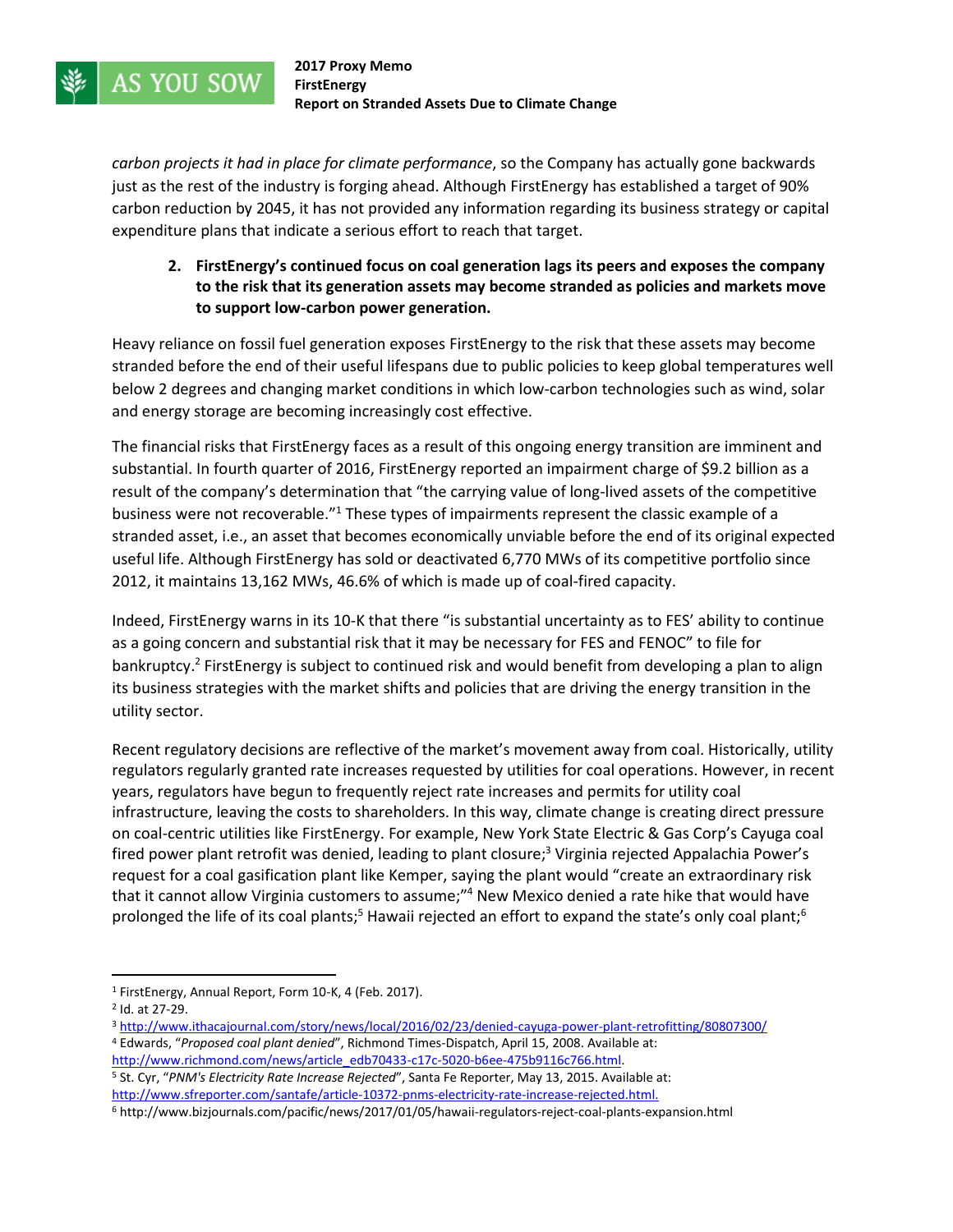

*carbon projects it had in place for climate performance*, so the Company has actually gone backwards just as the rest of the industry is forging ahead. Although FirstEnergy has established a target of 90% carbon reduction by 2045, it has not provided any information regarding its business strategy or capital expenditure plans that indicate a serious effort to reach that target.

**2. FirstEnergy's continued focus on coal generation lags its peers and exposes the company to the risk that its generation assets may become stranded as policies and markets move to support low-carbon power generation.**

Heavy reliance on fossil fuel generation exposes FirstEnergy to the risk that these assets may become stranded before the end of their useful lifespans due to public policies to keep global temperatures well below 2 degrees and changing market conditions in which low-carbon technologies such as wind, solar and energy storage are becoming increasingly cost effective.

The financial risks that FirstEnergy faces as a result of this ongoing energy transition are imminent and substantial. In fourth quarter of 2016, FirstEnergy reported an impairment charge of \$9.2 billion as a result of the company's determination that "the carrying value of long-lived assets of the competitive business were not recoverable."<sup>1</sup> These types of impairments represent the classic example of a stranded asset, i.e., an asset that becomes economically unviable before the end of its original expected useful life. Although FirstEnergy has sold or deactivated 6,770 MWs of its competitive portfolio since 2012, it maintains 13,162 MWs, 46.6% of which is made up of coal-fired capacity.

Indeed, FirstEnergy warns in its 10-K that there "is substantial uncertainty as to FES' ability to continue as a going concern and substantial risk that it may be necessary for FES and FENOC" to file for bankruptcy.<sup>2</sup> FirstEnergy is subject to continued risk and would benefit from developing a plan to align its business strategies with the market shifts and policies that are driving the energy transition in the utility sector.

Recent regulatory decisions are reflective of the market's movement away from coal. Historically, utility regulators regularly granted rate increases requested by utilities for coal operations. However, in recent years, regulators have begun to frequently reject rate increases and permits for utility coal infrastructure, leaving the costs to shareholders. In this way, climate change is creating direct pressure on coal-centric utilities like FirstEnergy. For example, New York State Electric & Gas Corp's Cayuga coal fired power plant retrofit was denied, leading to plant closure; <sup>3</sup> Virginia rejected Appalachia Power's request for a coal gasification plant like Kemper, saying the plant would "create an extraordinary risk that it cannot allow Virginia customers to assume;"<sup>4</sup> New Mexico denied a rate hike that would have prolonged the life of its coal plants;<sup>5</sup> Hawaii rejected an effort to expand the state's only coal plant;<sup>6</sup>

 $\overline{a}$ 

<sup>4</sup> Edwards, "*Proposed coal plant denied*", Richmond Times-Dispatch, April 15, 2008. Available at: http://www.richmond.com/news/article\_edb70433-c17c-5020-b6ee-475b9116c766.html.

<sup>5</sup> St. Cyr, "*PNM's Electricity Rate Increase Rejected*", Santa Fe Reporter, May 13, 2015. Available at: [http://www.sfreporter.com/santafe/article-10372-pnms-electricity-rate-increase-rejected.html.](http://www.sfreporter.com/santafe/article-10372-pnms-electricity-rate-increase-rejected.html)

<sup>1</sup> FirstEnergy, Annual Report, Form 10-K, 4 (Feb. 2017).

<sup>2</sup> Id. at 27-29.

<sup>3</sup> <http://www.ithacajournal.com/story/news/local/2016/02/23/denied-cayuga-power-plant-retrofitting/80807300/>

<sup>6</sup> http://www.bizjournals.com/pacific/news/2017/01/05/hawaii-regulators-reject-coal-plants-expansion.html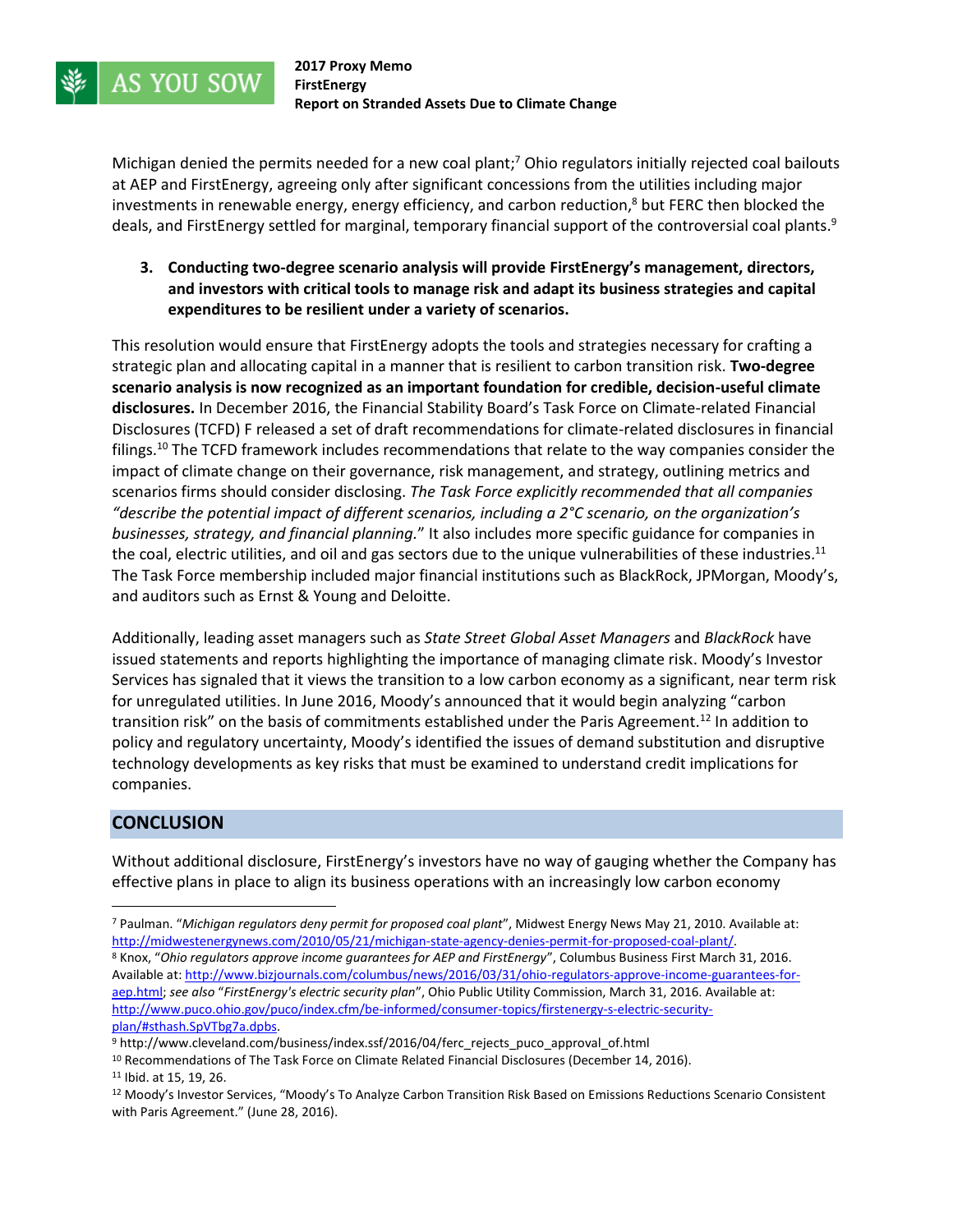

Michigan denied the permits needed for a new coal plant;<sup>7</sup> Ohio regulators initially rejected coal bailouts at AEP and FirstEnergy, agreeing only after significant concessions from the utilities including major investments in renewable energy, energy efficiency, and carbon reduction, <sup>8</sup> but FERC then blocked the deals, and FirstEnergy settled for marginal, temporary financial support of the controversial coal plants.<sup>9</sup>

**3. Conducting two-degree scenario analysis will provide FirstEnergy's management, directors, and investors with critical tools to manage risk and adapt its business strategies and capital expenditures to be resilient under a variety of scenarios.** 

This resolution would ensure that FirstEnergy adopts the tools and strategies necessary for crafting a strategic plan and allocating capital in a manner that is resilient to carbon transition risk. **Two-degree scenario analysis is now recognized as an important foundation for credible, decision-useful climate disclosures.** In December 2016, the Financial Stability Board's Task Force on Climate-related Financial Disclosures (TCFD) F released a set of draft recommendations for climate-related disclosures in financial filings.<sup>10</sup> The TCFD framework includes recommendations that relate to the way companies consider the impact of climate change on their governance, risk management, and strategy, outlining metrics and scenarios firms should consider disclosing. *The Task Force explicitly recommended that all companies "describe the potential impact of different scenarios, including a 2°C scenario, on the organization's businesses, strategy, and financial planning.*" It also includes more specific guidance for companies in the coal, electric utilities, and oil and gas sectors due to the unique vulnerabilities of these industries.<sup>11</sup> The Task Force membership included major financial institutions such as BlackRock, JPMorgan, Moody's, and auditors such as Ernst & Young and Deloitte.

Additionally, leading asset managers such as *State Street Global Asset Managers* and *BlackRock* have issued statements and reports highlighting the importance of managing climate risk. Moody's Investor Services has signaled that it views the transition to a low carbon economy as a significant, near term risk for unregulated utilities. In June 2016, Moody's announced that it would begin analyzing "carbon transition risk" on the basis of commitments established under the Paris Agreement.<sup>12</sup> In addition to policy and regulatory uncertainty, Moody's identified the issues of demand substitution and disruptive technology developments as key risks that must be examined to understand credit implications for companies.

## **CONCLUSION**

 $\overline{\phantom{a}}$ 

Without additional disclosure, FirstEnergy's investors have no way of gauging whether the Company has effective plans in place to align its business operations with an increasingly low carbon economy

<sup>8</sup> Knox, "*Ohio regulators approve income guarantees for AEP and FirstEnergy*", Columbus Business First March 31, 2016. Available at[: http://www.bizjournals.com/columbus/news/2016/03/31/ohio-regulators-approve-income-guarantees-for](http://www.bizjournals.com/columbus/news/2016/03/31/ohio-regulators-approve-income-guarantees-for-aep.html)[aep.html;](http://www.bizjournals.com/columbus/news/2016/03/31/ohio-regulators-approve-income-guarantees-for-aep.html) *see also* "*FirstEnergy's electric security plan*", Ohio Public Utility Commission, March 31, 2016. Available at: [http://www.puco.ohio.gov/puco/index.cfm/be-informed/consumer-topics/firstenergy-s-electric-security](http://www.puco.ohio.gov/puco/index.cfm/be-informed/consumer-topics/firstenergy-s-electric-security-plan/#sthash.SpVTbg7a.dpbs)[plan/#sthash.SpVTbg7a.dpbs.](http://www.puco.ohio.gov/puco/index.cfm/be-informed/consumer-topics/firstenergy-s-electric-security-plan/#sthash.SpVTbg7a.dpbs)

<sup>7</sup> Paulman. "*Michigan regulators deny permit for proposed coal plant*", Midwest Energy News May 21, 2010. Available at: [http://midwestenergynews.com/2010/05/21/michigan-state-agency-denies-permit-for-proposed-coal-plant/.](http://midwestenergynews.com/2010/05/21/michigan-state-agency-denies-permit-for-proposed-coal-plant/) 

<sup>9</sup> http://www.cleveland.com/business/index.ssf/2016/04/ferc\_rejects\_puco\_approval\_of.html

<sup>&</sup>lt;sup>10</sup> Recommendations of The Task Force on Climate Related Financial Disclosures (December 14, 2016). <sup>11</sup> Ibid. at 15, 19, 26.

<sup>12</sup> Moody's Investor Services, "Moody's To Analyze Carbon Transition Risk Based on Emissions Reductions Scenario Consistent with Paris Agreement." (June 28, 2016).